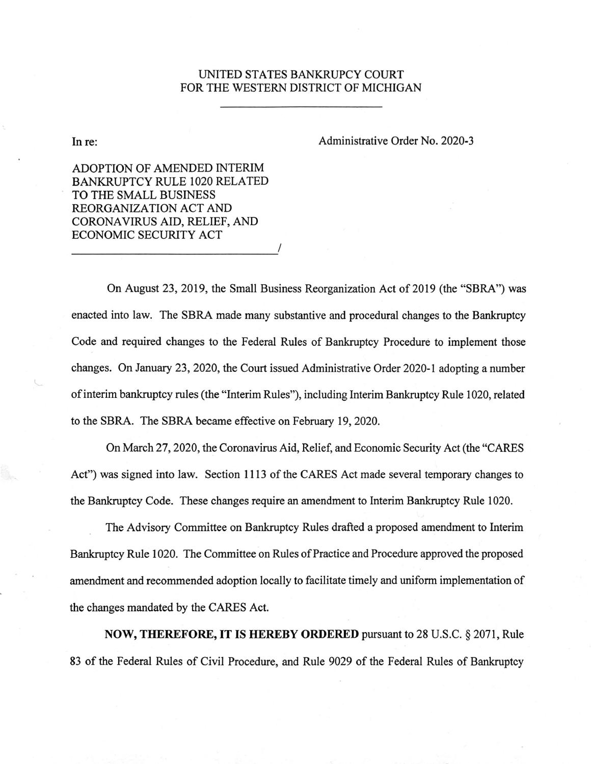## UNITED STATES BANKRUPCY COURT FOR THE WESTERN DISTRICT OF MICHIGAN

In re:

Administrative Order No. 2020-3

ADOPTION OF AMENDED INTERIM **BANKRUPTCY RULE 1020 RELATED** TO THE SMALL BUSINESS REORGANIZATION ACT AND CORONAVIRUS AID, RELIEF, AND **ECONOMIC SECURITY ACT** 

On August 23, 2019, the Small Business Reorganization Act of 2019 (the "SBRA") was enacted into law. The SBRA made many substantive and procedural changes to the Bankruptcy Code and required changes to the Federal Rules of Bankruptcy Procedure to implement those changes. On January 23, 2020, the Court issued Administrative Order 2020-1 adopting a number of interim bankruptcy rules (the "Interim Rules"), including Interim Bankruptcy Rule 1020, related to the SBRA. The SBRA became effective on February 19, 2020.

On March 27, 2020, the Coronavirus Aid, Relief, and Economic Security Act (the "CARES" Act") was signed into law. Section 1113 of the CARES Act made several temporary changes to the Bankruptcy Code. These changes require an amendment to Interim Bankruptcy Rule 1020.

The Advisory Committee on Bankruptcy Rules drafted a proposed amendment to Interim Bankruptcy Rule 1020. The Committee on Rules of Practice and Procedure approved the proposed amendment and recommended adoption locally to facilitate timely and uniform implementation of the changes mandated by the CARES Act.

**NOW, THEREFORE, IT IS HEREBY ORDERED** pursuant to 28 U.S.C. § 2071, Rule 83 of the Federal Rules of Civil Procedure, and Rule 9029 of the Federal Rules of Bankruptcy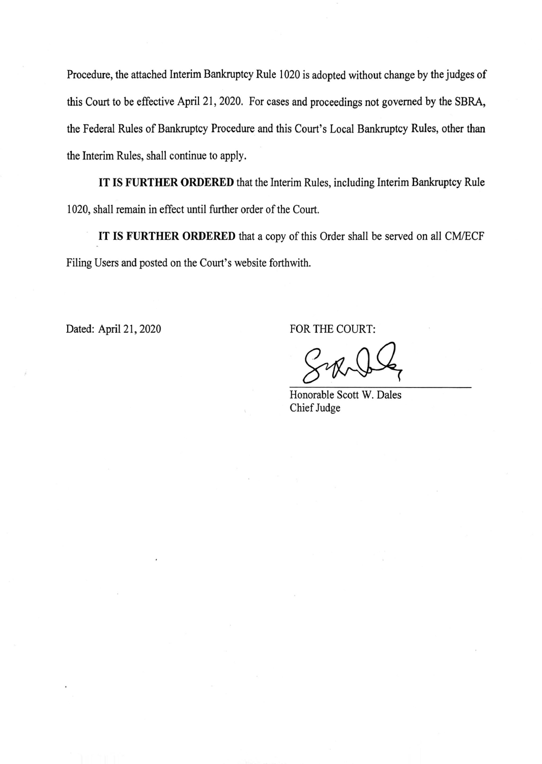Procedure, the attached Interim Bankruptcy Rule 1020 is adopted without change by the judges of this Court to be effective April 21, 2020. For cases and proceedings not governed by the SBRA, the Federal Rules of Bankruptcy Procedure and this Court's Local Bankruptcy Rules, other than the Interim Rules, shall continue to apply.

IT IS FURTHER ORDERED that the Interim Rules, including Interim Bankruptcy Rule 1020, shall remain in effect until further order of the Court.

IT IS FURTHER ORDERED that a copy of this Order shall be served on all CM/ECF Filing Users and posted on the Court's website forthwith.

Dated: April 21, 2020

FOR THE COURT:

Honorable Scott W. Dales Chief Judge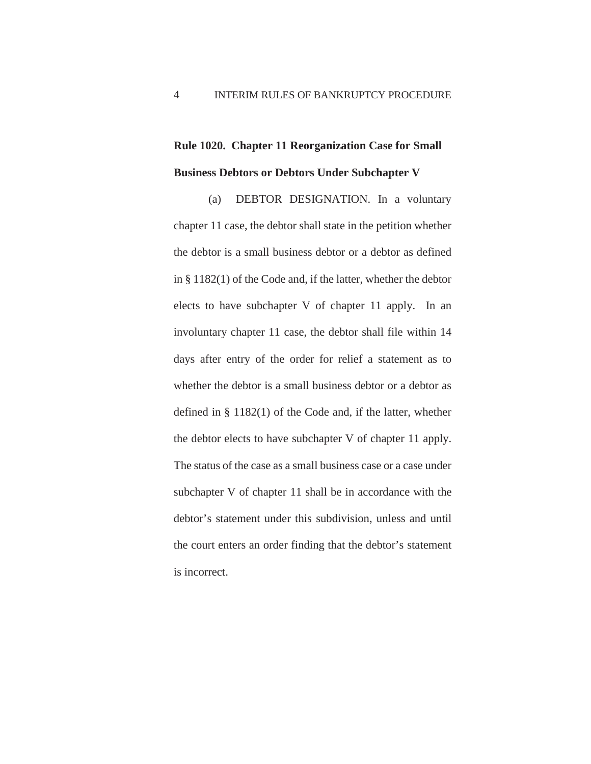## **Rule 1020. Chapter 11 Reorganization Case for Small Business Debtors or Debtors Under Subchapter V**

 (a) DEBTOR DESIGNATION. In a voluntary chapter 11 case, the debtor shall state in the petition whether the debtor is a small business debtor or a debtor as defined in § 1182(1) of the Code and, if the latter, whether the debtor elects to have subchapter V of chapter 11 apply. In an involuntary chapter 11 case, the debtor shall file within 14 days after entry of the order for relief a statement as to whether the debtor is a small business debtor or a debtor as defined in § 1182(1) of the Code and, if the latter, whether the debtor elects to have subchapter V of chapter 11 apply. The status of the case as a small business case or a case under subchapter V of chapter 11 shall be in accordance with the debtor's statement under this subdivision, unless and until the court enters an order finding that the debtor's statement is incorrect.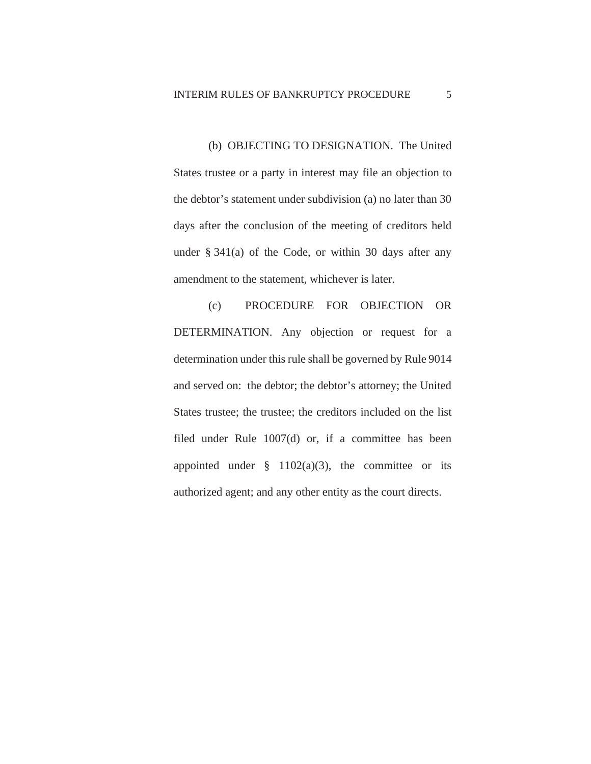(b) OBJECTING TO DESIGNATION. The United States trustee or a party in interest may file an objection to the debtor's statement under subdivision (a) no later than 30 days after the conclusion of the meeting of creditors held under § 341(a) of the Code, or within 30 days after any amendment to the statement, whichever is later.

 (c) PROCEDURE FOR OBJECTION OR DETERMINATION. Any objection or request for a determination under this rule shall be governed by Rule 9014 and served on: the debtor; the debtor's attorney; the United States trustee; the trustee; the creditors included on the list filed under Rule 1007(d) or, if a committee has been appointed under  $\S$  1102(a)(3), the committee or its authorized agent; and any other entity as the court directs.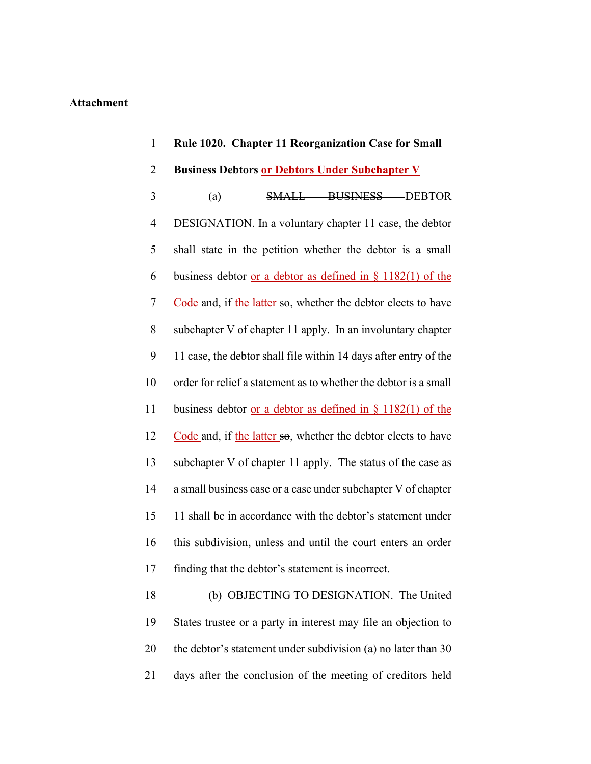## **Attachment**

| $\mathbf{1}$ | Rule 1020. Chapter 11 Reorganization Case for Small                             |
|--------------|---------------------------------------------------------------------------------|
| 2            | <b>Business Debtors or Debtors Under Subchapter V</b>                           |
| 3            | (a)<br>SMALL BUSINESS DEBTOR                                                    |
| 4            | DESIGNATION. In a voluntary chapter 11 case, the debtor                         |
| 5            | shall state in the petition whether the debtor is a small                       |
| 6            | business debtor <u>or a debtor as defined in <math>\S</math> 1182(1)</u> of the |
| 7            | Code and, if the latter so, whether the debtor elects to have                   |
| 8            | subchapter V of chapter 11 apply. In an involuntary chapter                     |
| 9            | 11 case, the debtor shall file within 14 days after entry of the                |
| 10           | order for relief a statement as to whether the debtor is a small                |
| 11           | business debtor <u>or a debtor as defined in <math>\S</math> 1182(1)</u> of the |
| 12           | Code and, if the latter so, whether the debtor elects to have                   |
| 13           | subchapter V of chapter 11 apply. The status of the case as                     |
| 14           | a small business case or a case under subchapter V of chapter                   |
| 15           | 11 shall be in accordance with the debtor's statement under                     |
| 16           | this subdivision, unless and until the court enters an order                    |
| 17           | finding that the debtor's statement is incorrect.                               |
| 18           | (b) OBJECTING TO DESIGNATION. The United                                        |
| 19           | States trustee or a party in interest may file an objection to                  |
| 20           | the debtor's statement under subdivision (a) no later than 30                   |
| 21           | days after the conclusion of the meeting of creditors held                      |